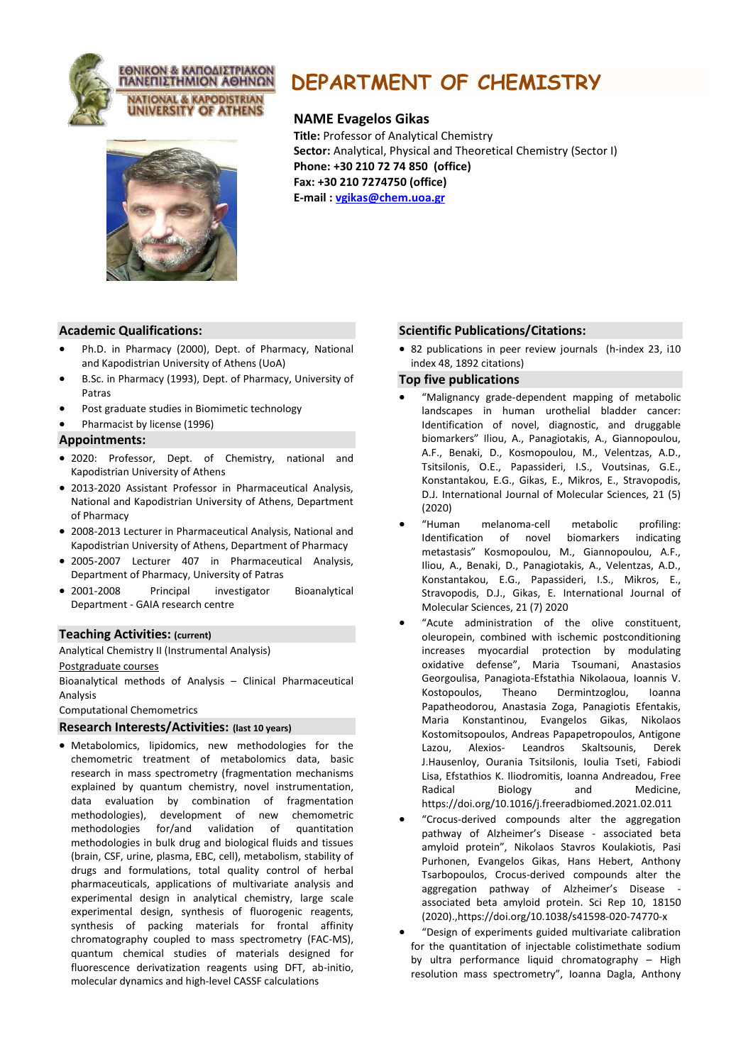



# **DEPARTMENT OF CHEMISTRY**

# **NAME Evagelos Gikas**

**Title:** Professor of Analytical Chemistry **Sector:** Analytical, Physical and Theoretical Chemistry (Sector I) **Phone: +30 210 72 74 850 (office) Fax: +30 210 7274750 (office) E-mail : [vgikas@chem.uoa.gr](mailto:vgikas@chem.uoa.gr)**

## **Academic Qualifications:**

- Ph.D. in Pharmacy (2000), Dept. of Pharmacy, National and Kapodistrian University of Athens (UoA)
- B.Sc. in Pharmacy (1993), Dept. of Pharmacy, University of Patras
- Post graduate studies in Biomimetic technology
- Pharmacist by license (1996)

#### **Appointments:**

- 2020: Professor, Dept. of Chemistry, national and Kapodistrian University of Athens
- 2013-2020 Assistant Professor in Pharmaceutical Analysis, National and Kapodistrian University of Athens, Department of Pharmacy
- 2008-2013 Lecturer in Pharmaceutical Analysis, National and Kapodistrian University of Athens, Department of Pharmacy
- 2005-2007 Lecturer 407 in Pharmaceutical Analysis, Department of Pharmacy, University of Patras
- 2001-2008 Principal investigator Bioanalytical Department - GAIA research centre

## **Teaching Activities: (current)**

Analytical Chemistry II (Instrumental Analysis)

Postgraduate courses

Bioanalytical methods of Analysis – Clinical Pharmaceutical Analysis

Computational Chemometrics

# **Research Interests/Activities: (last 10 years)**

• Metabolomics, lipidomics, new methodologies for the chemometric treatment of metabolomics data, basic research in mass spectrometry (fragmentation mechanisms explained by quantum chemistry, novel instrumentation, data evaluation by combination of fragmentation methodologies), development of new chemometric methodologies for/and validation of quantitation methodologies in bulk drug and biological fluids and tissues (brain, CSF, urine, plasma, EBC, cell), metabolism, stability of drugs and formulations, total quality control of herbal pharmaceuticals, applications of multivariate analysis and experimental design in analytical chemistry, large scale experimental design, synthesis of fluorogenic reagents, synthesis of packing materials for frontal affinity chromatography coupled to mass spectrometry (FAC-MS), quantum chemical studies of materials designed for fluorescence derivatization reagents using DFT, ab-initio, molecular dynamics and high-level CASSF calculations

## **Scientific Publications/Citations:**

• 82 publications in peer review journals (h-index 23, i10 index 48, 1892 citations)

# **Top five publications**

- "Malignancy grade-dependent mapping of metabolic landscapes in human urothelial bladder cancer: Identification of novel, diagnostic, and druggable biomarkers" Iliou, A., Panagiotakis, A., Giannopoulou, A.F., Benaki, D., Kosmopoulou, M., Velentzas, A.D., Tsitsilonis, O.E., Papassideri, I.S., Voutsinas, G.E., Konstantakou, E.G., Gikas, E., Mikros, E., Stravopodis, D.J. International Journal of Molecular Sciences, 21 (5) (2020)
- "Human melanoma‐cell metabolic profiling: Identification of novel biomarkers indicating metastasis" Kosmopoulou, M., Giannopoulou, A.F., Iliou, A., Benaki, D., Panagiotakis, A., Velentzas, A.D., Konstantakou, E.G., Papassideri, I.S., Mikros, E., Stravopodis, D.J., Gikas, E. International Journal of Molecular Sciences, 21 (7) 2020
- "Acute administration of the olive constituent, oleuropein, combined with ischemic postconditioning increases myocardial protection by modulating oxidative defense", Maria Tsoumani, Anastasios Georgoulisa, Panagiota-Efstathia Nikolaoua, Ioannis V. Kostopoulos, Theano Dermintzoglou, Ioanna Papatheodorou, Anastasia Zoga, Panagiotis Efentakis, Maria Konstantinou, Evangelos Gikas, Nikolaos Kostomitsopoulos, Andreas Papapetropoulos, Antigone Lazou, Alexios- Leandros Skaltsounis, Derek J.Hausenloy, Ourania Tsitsilonis, Ioulia Tseti, Fabiodi Lisa, Efstathios K. Iliodromitis, Ioanna Andreadou, Free Radical Biology and Medicine, https://doi.org/10.1016/j.freeradbiomed.2021.02.011
- "Crocus-derived compounds alter the aggregation pathway of Alzheimer's Disease - associated beta amyloid protein", Nikolaos Stavros Koulakiotis, Pasi Purhonen, Evangelos Gikas, Hans Hebert, Anthony Tsarbopoulos, Crocus-derived compounds alter the aggregation pathway of Alzheimer's Disease associated beta amyloid protein. Sci Rep 10, 18150 (2020).,https://doi.org/10.1038/s41598-020-74770-x
- "Design of experiments guided multivariate calibration for the quantitation of injectable colistimethate sodium by ultra performance liquid chromatography – High resolution mass spectrometry", Ioanna Dagla, Anthony